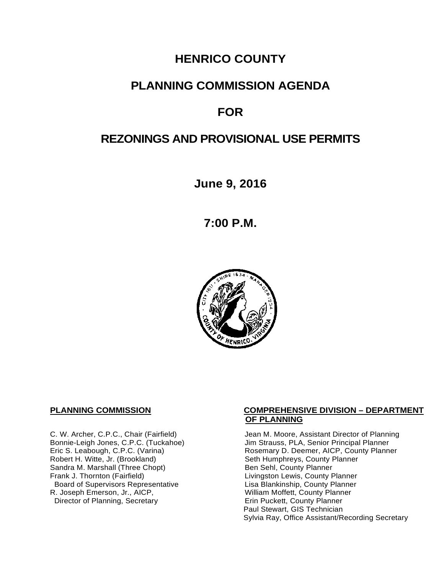# **HENRICO COUNTY**

# **PLANNING COMMISSION AGENDA**

# **FOR**

# **REZONINGS AND PROVISIONAL USE PERMITS**

**June 9, 2016**

**7:00 P.M.**



Sandra M. Marshall (Three Chopt)<br>Frank J. Thornton (Fairfield) Board of Supervisors Representative Fig. 2016 Lisa Blankinship, County Planner<br>L. Joseph Emerson, Jr., AICP, North County Planner (Nilliam Moffett, County Planner) R. Joseph Emerson, Jr., AICP, <br>
Director of Planning, Secretary 
William Moffett, County Planner Director of Planning, Secretary

#### **PLANNING COMMISSION COMPREHENSIVE DIVISION – DEPARTMENT OF PLANNING**

C. W. Archer, C.P.C., Chair (Fairfield) Jean M. Moore, Assistant Director of Planning<br>Bonnie-Leigh Jones, C.P.C. (Tuckahoe) Jim Strauss, PLA, Senior Principal Planner Bonnie-Leigh Jones, C.P.C. (Tuckahoe) Jim Strauss, PLA, Senior Principal Planner<br>Eric S. Leabough, C.P.C. (Varina) Rosemary D. Deemer, AICP, County Planne Eric S. Leabough, C.P.C. (Varina) The Rosemary D. Deemer, AICP, County Planner<br>Robert H. Witte, Jr. (Brookland) The Seth Humphreys, County Planner Seth Humphreys, County Planner<br>Ben Sehl, County Planner Livingston Lewis, County Planner<br>Lisa Blankinship, County Planner Paul Stewart, GIS Technician Sylvia Ray, Office Assistant/Recording Secretary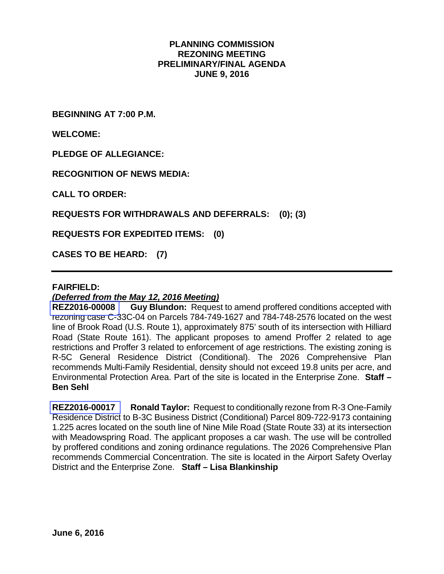#### **PLANNING COMMISSION REZONING MEETING PRELIMINARY/FINAL AGENDA JUNE 9, 2016**

**BEGINNING AT 7:00 P.M.**

**WELCOME:**

**PLEDGE OF ALLEGIANCE:**

**RECOGNITION OF NEWS MEDIA:**

**CALL TO ORDER:**

**REQUESTS FOR WITHDRAWALS AND DEFERRALS: (0); (3)**

**REQUESTS FOR EXPEDITED ITEMS: (0)**

**CASES TO BE HEARD: (7)**

#### **FAIRFIELD:**

*(Deferred from the May 12, 2016 Meeting)*

**REZ2016-00008 Guy Blundon:** Request to amend proffered conditions accepted with rezoning case C-33C-04 on Parcels 784-749-1627 and 784-748-2576 located on the west line of Brook Road (U.S. Route 1), approximately 875' south of its intersection with Hilliard Road (State Route 161). The applicant proposes to amend Proffer 2 related to age restrictions and Proffer 3 related to enforcement of age restrictions. The existing zoning is R-5C General Residence District (Conditional). The 2026 Comprehensive Plan recommends Multi-Family Residential, density should not exceed 19.8 units per acre, and Environmental Protection Area. Part of the site is located in the Enterprise Zone. **Staff – Ben Sehl**

**REZ2016-00017 Ronald Taylor:** Request to conditionally rezone from R-3 One-Family Residence District to B-3C Business District (Conditional) Parcel 809-722-9173 containing 1.225 acres located on the south line of Nine Mile Road (State Route 33) at its intersection with Meadowspring Road. The applicant proposes a car wash. The use will be controlled by proffered conditions and zoning ordinance regulations. The 2026 Comprehensive Plan recommends Commercial Concentration. The site is located in the Airport Safety Overlay District and the Enterprise Zone. **Staff – Lisa Blankinship**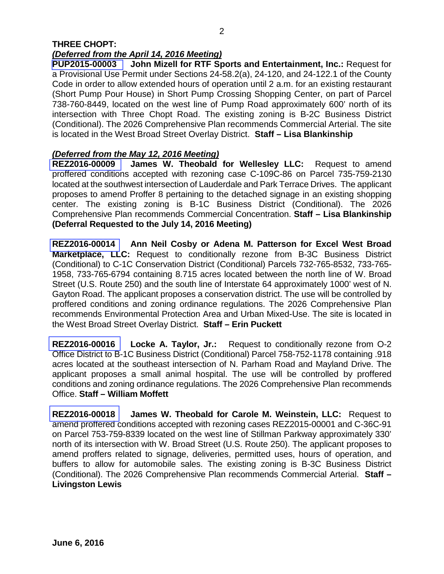## **THREE CHOPT:**  *(Deferred from the April 14, 2016 Meeting)*

**PUP2015-00003 John Mizell for RTF Sports and Entertainment, Inc.:** Request for a Provisional Use Permit under Sections 24-58.2(a), 24-120, and 24-122.1 of the County Code in order to allow extended hours of operation until 2 a.m. for an existing restaurant (Short Pump Pour House) in Short Pump Crossing Shopping Center, on part of Parcel 738-760-8449, located on the west line of Pump Road approximately 600' north of its intersection with Three Chopt Road. The existing zoning is B-2C Business District (Conditional). The 2026 Comprehensive Plan recommends Commercial Arterial. The site is located in the West Broad Street Overlay District. **Staff – Lisa Blankinship**

### *(Deferred from the May 12, 2016 Meeting)*

**REZ2016-00009 James W. Theobald for Wellesley LLC:** Request to amend proffered conditions accepted with rezoning case C-109C-86 on Parcel 735-759-2130 located at the southwest intersection of Lauderdale and Park Terrace Drives. The applicant proposes to amend Proffer 8 pertaining to the detached signage in an existing shopping center. The existing zoning is B-1C Business District (Conditional). The 2026 Comprehensive Plan recommends Commercial Concentration. **Staff – Lisa Blankinship (Deferral Requested to the July 14, 2016 Meeting)**

**REZ2016-00014 Ann Neil Cosby or Adena M. Patterson for Excel West Broad Marketplace, LLC:** Request to conditionally rezone from B-3C Business District (Conditional) to C-1C Conservation District (Conditional) Parcels 732-765-8532, 733-765- 1958, 733-765-6794 containing 8.715 acres located between the north line of W. Broad Street (U.S. Route 250) and the south line of Interstate 64 approximately 1000' west of N. Gayton Road. The applicant proposes a conservation district. The use will be controlled by proffered conditions and zoning ordinance regulations. The 2026 Comprehensive Plan recommends Environmental Protection Area and Urban Mixed-Use. The site is located in the West Broad Street Overlay District. **Staff – Erin Puckett**

**REZ2016-00016 Locke A. Taylor, Jr.:** Request to conditionally rezone from O-2 Office District to B-1C Business District (Conditional) Parcel 758-752-1178 containing .918 acres located at the southeast intersection of N. Parham Road and Mayland Drive. The applicant proposes a small animal hospital. The use will be controlled by proffered conditions and zoning ordinance regulations. The 2026 Comprehensive Plan recommends Office. **Staff – William Moffett**

**REZ2016-00018 James W. Theobald for Carole M. Weinstein, LLC:** Request to amend proffered conditions accepted with rezoning cases REZ2015-00001 and C-36C-91 on Parcel 753-759-8339 located on the west line of Stillman Parkway approximately 330' north of its intersection with W. Broad Street (U.S. Route 250). The applicant proposes to amend proffers related to signage, deliveries, permitted uses, hours of operation, and buffers to allow for automobile sales. The existing zoning is B-3C Business District (Conditional). The 2026 Comprehensive Plan recommends Commercial Arterial. **Staff – Livingston Lewis**